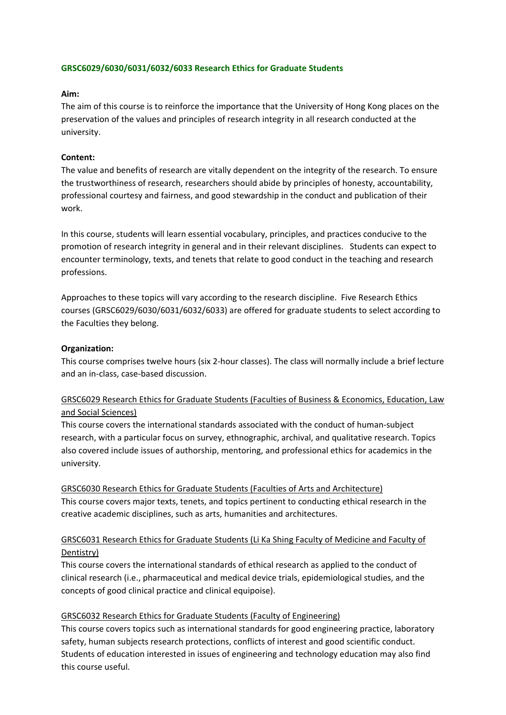### **GRSC6029/6030/6031/6032/6033 Research Ethics for Graduate Students**

#### **Aim:**

The aim of this course is to reinforce the importance that the University of Hong Kong places on the preservation of the values and principles of research integrity in all research conducted at the university.

#### **Content:**

The value and benefits of research are vitally dependent on the integrity of the research. To ensure the trustworthiness of research, researchers should abide by principles of honesty, accountability, professional courtesy and fairness, and good stewardship in the conduct and publication of their work.

In this course, students will learn essential vocabulary, principles, and practices conducive to the promotion of research integrity in general and in their relevant disciplines. Students can expect to encounter terminology, texts, and tenets that relate to good conduct in the teaching and research professions.

Approaches to these topics will vary according to the research discipline. Five Research Ethics courses (GRSC6029/6030/6031/6032/6033) are offered for graduate students to select according to the Faculties they belong.

#### **Organization:**

This course comprises twelve hours (six 2‐hour classes). The class will normally include a brief lecture and an in‐class, case‐based discussion.

# GRSC6029 Research Ethics for Graduate Students (Faculties of Business & Economics, Education, Law and Social Sciences)

This course covers the international standards associated with the conduct of human‐subject research, with a particular focus on survey, ethnographic, archival, and qualitative research. Topics also covered include issues of authorship, mentoring, and professional ethics for academics in the university.

GRSC6030 Research Ethics for Graduate Students (Faculties of Arts and Architecture) This course covers major texts, tenets, and topics pertinent to conducting ethical research in the creative academic disciplines, such as arts, humanities and architectures.

# GRSC6031 Research Ethics for Graduate Students (Li Ka Shing Faculty of Medicine and Faculty of Dentistry)

This course covers the international standards of ethical research as applied to the conduct of clinical research (i.e., pharmaceutical and medical device trials, epidemiological studies, and the concepts of good clinical practice and clinical equipoise).

### GRSC6032 Research Ethics for Graduate Students (Faculty of Engineering)

This course covers topics such as international standards for good engineering practice, laboratory safety, human subjects research protections, conflicts of interest and good scientific conduct. Students of education interested in issues of engineering and technology education may also find this course useful.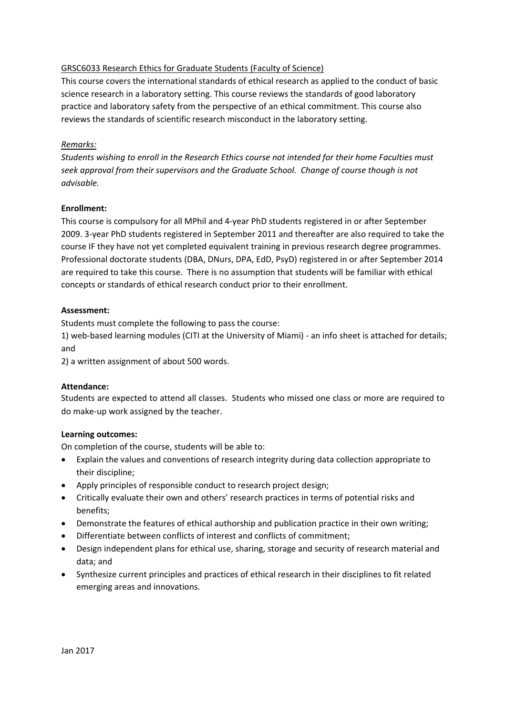# GRSC6033 Research Ethics for Graduate Students (Faculty of Science)

This course covers the international standards of ethical research as applied to the conduct of basic science research in a laboratory setting. This course reviews the standards of good laboratory practice and laboratory safety from the perspective of an ethical commitment. This course also reviews the standards of scientific research misconduct in the laboratory setting.

# *Remarks:*

*Students wishing to enroll in the Research Ethics course not intended for their home Faculties must seek approval from their supervisors and the Graduate School. Change of course though is not advisable.* 

### **Enrollment:**

This course is compulsory for all MPhil and 4‐year PhD students registered in or after September 2009. 3‐year PhD students registered in September 2011 and thereafter are also required to take the course IF they have not yet completed equivalent training in previous research degree programmes. Professional doctorate students (DBA, DNurs, DPA, EdD, PsyD) registered in or after September 2014 are required to take this course. There is no assumption that students will be familiar with ethical concepts or standards of ethical research conduct prior to their enrollment.

### **Assessment:**

Students must complete the following to pass the course:

1) web-based learning modules (CITI at the University of Miami) - an info sheet is attached for details; and

2) a written assignment of about 500 words.

### **Attendance:**

Students are expected to attend all classes. Students who missed one class or more are required to do make‐up work assigned by the teacher.

### **Learning outcomes:**

On completion of the course, students will be able to:

- Explain the values and conventions of research integrity during data collection appropriate to their discipline;
- Apply principles of responsible conduct to research project design;
- Critically evaluate their own and others' research practices in terms of potential risks and benefits;
- Demonstrate the features of ethical authorship and publication practice in their own writing;
- Differentiate between conflicts of interest and conflicts of commitment;
- Design independent plans for ethical use, sharing, storage and security of research material and data; and
- Synthesize current principles and practices of ethical research in their disciplines to fit related emerging areas and innovations.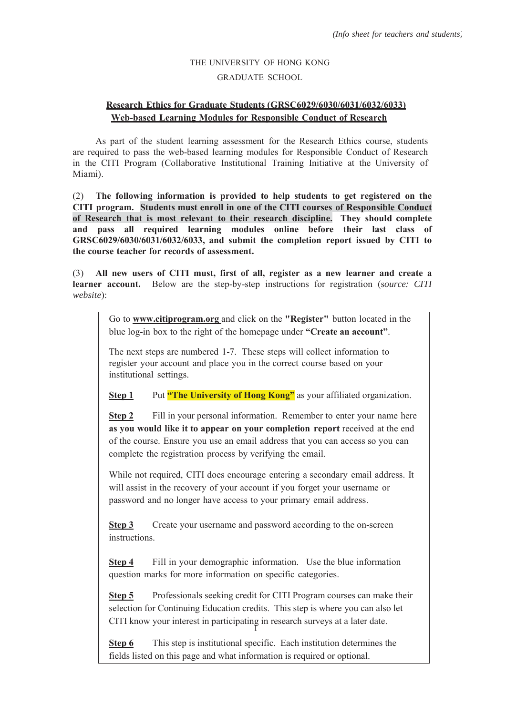# THE UNIVERSITY OF HONG KONG GRADUATE SCHOOL

# **Research Ethics for Graduate Students (GRSC6029/6030/6031/6032/6033) Web-based Learning Modules for Responsible Conduct of Research**

As part of the student learning assessment for the Research Ethics course, students are required to pass the web-based learning modules for Responsible Conduct of Research in the CITI Program (Collaborative Institutional Training Initiative at the University of Miami).

(2) **The following information is provided to help students to get registered on the CITI program. Students must enroll in one of the CITI courses of Responsible Conduct of Research that is most relevant to their research discipline. They should complete and pass all required learning modules online before their last class of GRSC6029/6030/6031/6032/6033, and submit the completion report issued by CITI to the course teacher for records of assessment.**

(3) **All new users of CITI must, first of all, register as a new learner and create a learner account.** Below are the step-by-step instructions for registration (s*ource: CITI website*):

> Go to **www.citiprogram.org** and click on the **"Register"** button located in the blue log-in box to the right of the homepage under **"Create an account"**.

The next steps are numbered 1-7. These steps will collect information to register your account and place you in the correct course based on your institutional settings.

**Step 1** Put **"The University of Hong Kong"** as your affiliated organization.

**Step 2** Fill in your personal information. Remember to enter your name here **as you would like it to appear on your completion report** received at the end of the course. Ensure you use an email address that you can access so you can complete the registration process by verifying the email.

While not required, CITI does encourage entering a secondary email address. It will assist in the recovery of your account if you forget your username or password and no longer have access to your primary email address.

**Step 3** Create your username and password according to the on-screen instructions.

**Step 4** Fill in your demographic information. Use the blue information question marks for more information on specific categories.

1 CITI know your interest in participating in research surveys at a later date. **Step 5** Professionals seeking credit for CITI Program courses can make their selection for Continuing Education credits. This step is where you can also let

**Step 6** This step is institutional specific. Each institution determines the fields listed on this page and what information is required or optional.